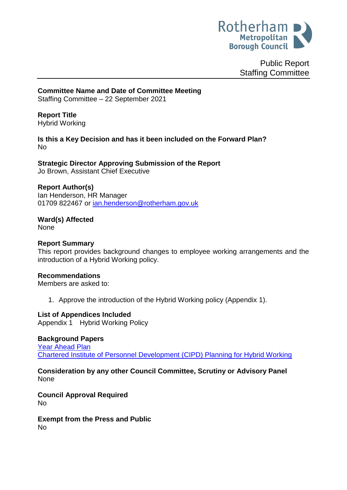

Public Report Staffing Committee

**Committee Name and Date of Committee Meeting** Staffing Committee – 22 September 2021

**Report Title** Hybrid Working

**Is this a Key Decision and has it been included on the Forward Plan?**  No

**Strategic Director Approving Submission of the Report** Jo Brown, Assistant Chief Executive

**Report Author(s)** Ian Henderson, HR Manager 01709 822467 or [ian.henderson@rotherham.gov.uk](mailto:ian.henderson@rotherham.gov.uk)

**Ward(s) Affected** None

### **Report Summary**

This report provides background changes to employee working arrangements and the introduction of a Hybrid Working policy.

### **Recommendations**

Members are asked to:

1. Approve the introduction of the Hybrid Working policy (Appendix 1).

# **List of Appendices Included**

Appendix 1 Hybrid Working Policy

### **Background Papers**

[Year Ahead Plan](http://modgov-p-db/documents/s127692/85176%20-%20The%20Year%20Ahead%20Plan%202020-21%20-%20INTERACTIVE.pdf) [Chartered Institute of Personnel Development \(CIPD\) Planning for Hybrid Working](https://www.cipd.co.uk/knowledge/fundamentals/relations/flexible-working/planning-hybrid-working#gref)

**Consideration by any other Council Committee, Scrutiny or Advisory Panel** None

**Council Approval Required** No

**Exempt from the Press and Public** No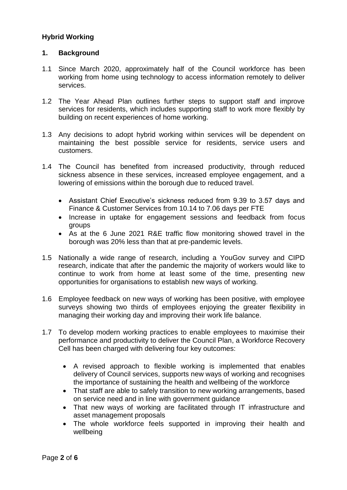## **Hybrid Working**

#### **1. Background**

- 1.1 Since March 2020, approximately half of the Council workforce has been working from home using technology to access information remotely to deliver services.
- 1.2 The Year Ahead Plan outlines further steps to support staff and improve services for residents, which includes supporting staff to work more flexibly by building on recent experiences of home working.
- 1.3 Any decisions to adopt hybrid working within services will be dependent on maintaining the best possible service for residents, service users and customers.
- 1.4 The Council has benefited from increased productivity, through reduced sickness absence in these services, increased employee engagement, and a lowering of emissions within the borough due to reduced travel.
	- Assistant Chief Executive's sickness reduced from 9.39 to 3.57 days and Finance & Customer Services from 10.14 to 7.06 days per FTE
	- Increase in uptake for engagement sessions and feedback from focus groups
	- As at the 6 June 2021 R&E traffic flow monitoring showed travel in the borough was 20% less than that at pre-pandemic levels.
- 1.5 Nationally a wide range of research, including a YouGov survey and CIPD research, indicate that after the pandemic the majority of workers would like to continue to work from home at least some of the time, presenting new opportunities for organisations to establish new ways of working.
- 1.6 Employee feedback on new ways of working has been positive, with employee surveys showing two thirds of employees enjoying the greater flexibility in managing their working day and improving their work life balance.
- 1.7 To develop modern working practices to enable employees to maximise their performance and productivity to deliver the Council Plan, a Workforce Recovery Cell has been charged with delivering four key outcomes:
	- A revised approach to flexible working is implemented that enables delivery of Council services, supports new ways of working and recognises the importance of sustaining the health and wellbeing of the workforce
	- That staff are able to safely transition to new working arrangements, based on service need and in line with government guidance
	- That new ways of working are facilitated through IT infrastructure and asset management proposals
	- The whole workforce feels supported in improving their health and wellbeing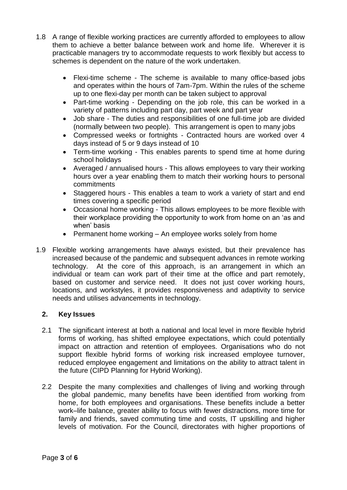- 1.8 A range of flexible working practices are currently afforded to employees to allow them to achieve a better balance between work and home life. Wherever it is practicable managers try to accommodate requests to work flexibly but access to schemes is dependent on the nature of the work undertaken.
	- Flexi-time scheme The scheme is available to many office-based jobs and operates within the hours of 7am-7pm. Within the rules of the scheme up to one flexi-day per month can be taken subject to approval
	- Part-time working Depending on the job role, this can be worked in a variety of patterns including part day, part week and part year
	- Job share The duties and responsibilities of one full-time job are divided (normally between two people). This arrangement is open to many jobs
	- Compressed weeks or fortnights Contracted hours are worked over 4 days instead of 5 or 9 days instead of 10
	- Term-time working This enables parents to spend time at home during school holidays
	- Averaged / annualised hours This allows employees to vary their working hours over a year enabling them to match their working hours to personal commitments
	- Staggered hours This enables a team to work a variety of start and end times covering a specific period
	- Occasional home working This allows employees to be more flexible with their workplace providing the opportunity to work from home on an 'as and when' basis
	- Permanent home working An employee works solely from home
- 1.9 Flexible working arrangements have always existed, but their prevalence has increased because of the pandemic and subsequent advances in remote working technology. At the core of this approach, is an arrangement in which an individual or team can work part of their time at the office and part remotely, based on customer and service need. It does not just cover working hours, locations, and workstyles, it provides responsiveness and adaptivity to service needs and utilises advancements in technology.

# **2. Key Issues**

- 2.1 The significant interest at both a national and local level in more flexible hybrid forms of working, has shifted employee expectations, which could potentially impact on attraction and retention of employees. Organisations who do not support flexible hybrid forms of working risk increased employee turnover, reduced employee engagement and limitations on the ability to attract talent in the future (CIPD Planning for Hybrid Working).
- 2.2 Despite the many complexities and challenges of living and working through the global pandemic, many benefits have been identified from working from home, for both employees and organisations. These benefits include a better work–life balance, greater ability to focus with fewer distractions, more time for family and friends, saved commuting time and costs, IT upskilling and higher levels of motivation. For the Council, directorates with higher proportions of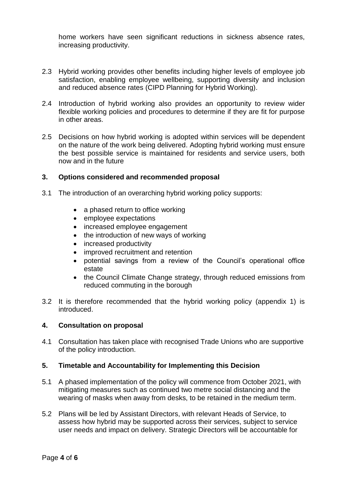home workers have seen significant reductions in sickness absence rates, increasing productivity.

- 2.3 Hybrid working provides other benefits including higher levels of employee job satisfaction, enabling employee wellbeing, supporting diversity and inclusion and reduced absence rates (CIPD Planning for Hybrid Working).
- 2.4 Introduction of hybrid working also provides an opportunity to review wider flexible working policies and procedures to determine if they are fit for purpose in other areas.
- 2.5 Decisions on how hybrid working is adopted within services will be dependent on the nature of the work being delivered. Adopting hybrid working must ensure the best possible service is maintained for residents and service users, both now and in the future

## **3. Options considered and recommended proposal**

- 3.1 The introduction of an overarching hybrid working policy supports:
	- a phased return to office working
	- employee expectations
	- increased employee engagement
	- the introduction of new ways of working
	- increased productivity
	- improved recruitment and retention
	- potential savings from a review of the Council's operational office estate
	- the Council Climate Change strategy, through reduced emissions from reduced commuting in the borough
- 3.2 It is therefore recommended that the hybrid working policy (appendix 1) is introduced.

### **4. Consultation on proposal**

4.1 Consultation has taken place with recognised Trade Unions who are supportive of the policy introduction.

### **5. Timetable and Accountability for Implementing this Decision**

- 5.1 A phased implementation of the policy will commence from October 2021, with mitigating measures such as continued two metre social distancing and the wearing of masks when away from desks, to be retained in the medium term.
- 5.2 Plans will be led by Assistant Directors, with relevant Heads of Service, to assess how hybrid may be supported across their services, subject to service user needs and impact on delivery. Strategic Directors will be accountable for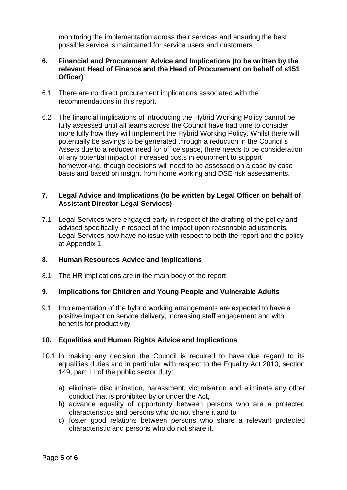monitoring the implementation across their services and ensuring the best possible service is maintained for service users and customers.

#### **6. Financial and Procurement Advice and Implications (to be written by the relevant Head of Finance and the Head of Procurement on behalf of s151 Officer)**

- 6.1 There are no direct procurement implications associated with the recommendations in this report.
- 6.2 The financial implications of introducing the Hybrid Working Policy cannot be fully assessed until all teams across the Council have had time to consider more fully how they will implement the Hybrid Working Policy. Whilst there will potentially be savings to be generated through a reduction in the Council's Assets due to a reduced need for office space, there needs to be consideration of any potential impact of increased costs in equipment to support homeworking, though decisions will need to be assessed on a case by case basis and based on insight from home working and DSE risk assessments.

### **7. Legal Advice and Implications (to be written by Legal Officer on behalf of Assistant Director Legal Services)**

7.1 Legal Services were engaged early in respect of the drafting of the policy and advised specifically in respect of the impact upon reasonable adjustments. Legal Services now have no issue with respect to both the report and the policy at Appendix 1.

# **8. Human Resources Advice and Implications**

8.1 The HR implications are in the main body of the report.

# **9. Implications for Children and Young People and Vulnerable Adults**

9.1 Implementation of the hybrid working arrangements are expected to have a positive impact on service delivery, increasing staff engagement and with benefits for productivity.

### **10. Equalities and Human Rights Advice and Implications**

- 10.1 In making any decision the Council is required to have due regard to its equalities duties and in particular with respect to the Equality Act 2010, section 149, part 11 of the public sector duty:
	- a) eliminate discrimination, harassment, victimisation and eliminate any other conduct that is prohibited by or under the Act,
	- b) advance equality of opportunity between persons who are a protected characteristics and persons who do not share it and to
	- c) foster good relations between persons who share a relevant protected characteristic and persons who do not share it.